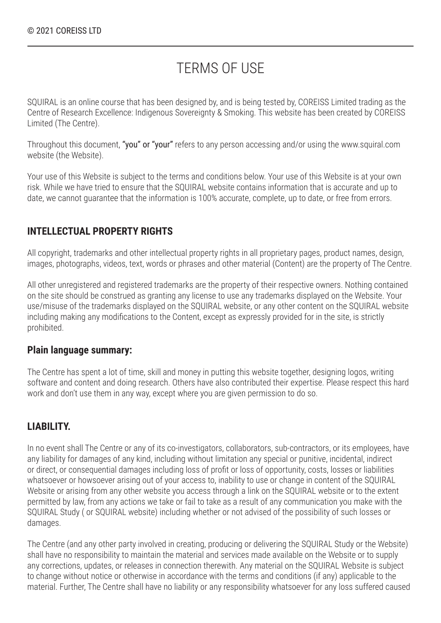## TERMS OF USE

SQUIRAL is an online course that has been designed by, and is being tested by, COREISS Limited trading as the Centre of Research Excellence: Indigenous Sovereignty & Smoking. This website has been created by COREISS Limited (The Centre).

Throughout this document, "you" or "your" refers to any person accessing and/or using the www.squiral.com website (the Website).

Your use of this Website is subject to the terms and conditions below. Your use of this Website is at your own risk. While we have tried to ensure that the SQUIRAL website contains information that is accurate and up to date, we cannot guarantee that the information is 100% accurate, complete, up to date, or free from errors.

#### **INTELLECTUAL PROPERTY RIGHTS**

All copyright, trademarks and other intellectual property rights in all proprietary pages, product names, design, images, photographs, videos, text, words or phrases and other material (Content) are the property of The Centre.

All other unregistered and registered trademarks are the property of their respective owners. Nothing contained on the site should be construed as granting any license to use any trademarks displayed on the Website. Your use/misuse of the trademarks displayed on the SQUIRAL website, or any other content on the SQUIRAL website including making any modifications to the Content, except as expressly provided for in the site, is strictly prohibited.

#### **Plain language summary:**

The Centre has spent a lot of time, skill and money in putting this website together, designing logos, writing software and content and doing research. Others have also contributed their expertise. Please respect this hard work and don't use them in any way, except where you are given permission to do so.

### **LIABILITY.**

In no event shall The Centre or any of its co-investigators, collaborators, sub-contractors, or its employees, have any liability for damages of any kind, including without limitation any special or punitive, incidental, indirect or direct, or consequential damages including loss of profit or loss of opportunity, costs, losses or liabilities whatsoever or howsoever arising out of your access to, inability to use or change in content of the SQUIRAL Website or arising from any other website you access through a link on the SQUIRAL website or to the extent permitted by law, from any actions we take or fail to take as a result of any communication you make with the SQUIRAL Study ( or SQUIRAL website) including whether or not advised of the possibility of such losses or damages.

The Centre (and any other party involved in creating, producing or delivering the SQUIRAL Study or the Website) shall have no responsibility to maintain the material and services made available on the Website or to supply any corrections, updates, or releases in connection therewith. Any material on the SQUIRAL Website is subject to change without notice or otherwise in accordance with the terms and conditions (if any) applicable to the material. Further, The Centre shall have no liability or any responsibility whatsoever for any loss suffered caused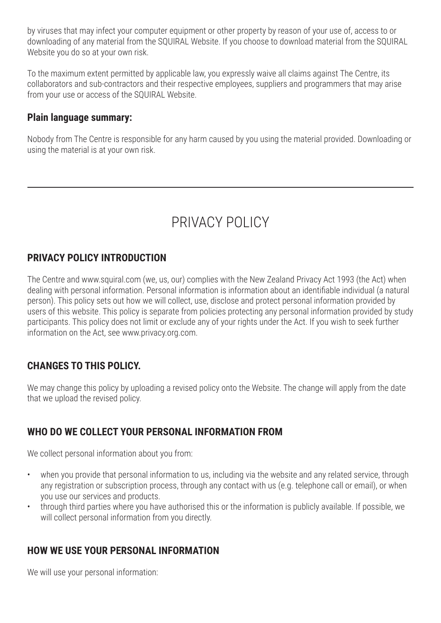by viruses that may infect your computer equipment or other property by reason of your use of, access to or downloading of any material from the SQUIRAL Website. If you choose to download material from the SQUIRAL Website you do so at your own risk.

To the maximum extent permitted by applicable law, you expressly waive all claims against The Centre, its collaborators and sub-contractors and their respective employees, suppliers and programmers that may arise from your use or access of the SQUIRAL Website.

#### **Plain language summary:**

Nobody from The Centre is responsible for any harm caused by you using the material provided. Downloading or using the material is at your own risk.

# PRIVACY POLICY

### **PRIVACY POLICY INTRODUCTION**

The Centre and www.squiral.com (we, us, our) complies with the New Zealand Privacy Act 1993 (the Act) when dealing with personal information. Personal information is information about an identifiable individual (a natural person). This policy sets out how we will collect, use, disclose and protect personal information provided by users of this website. This policy is separate from policies protecting any personal information provided by study participants. This policy does not limit or exclude any of your rights under the Act. If you wish to seek further information on the Act, see www.privacy.org.com.

### **CHANGES TO THIS POLICY.**

We may change this policy by uploading a revised policy onto the Website. The change will apply from the date that we upload the revised policy.

## **WHO DO WE COLLECT YOUR PERSONAL INFORMATION FROM**

We collect personal information about you from:

- when you provide that personal information to us, including via the website and any related service, through any registration or subscription process, through any contact with us (e.g. telephone call or email), or when you use our services and products.
- through third parties where you have authorised this or the information is publicly available. If possible, we will collect personal information from you directly.

### **HOW WE USE YOUR PERSONAL INFORMATION**

We will use your personal information: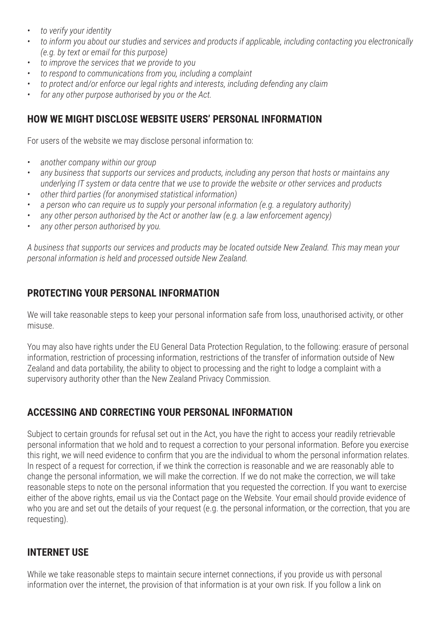- *• to verify your identity*
- *• to inform you about our studies and services and products if applicable, including contacting you electronically (e.g. by text or email for this purpose)*
- *• to improve the services that we provide to you*
- *• to respond to communications from you, including a complaint*
- *• to protect and/or enforce our legal rights and interests, including defending any claim*
- *• for any other purpose authorised by you or the Act.*

## **HOW WE MIGHT DISCLOSE WEBSITE USERS' PERSONAL INFORMATION**

For users of the website we may disclose personal information to:

- *• another company within our group*
- *• any business that supports our services and products, including any person that hosts or maintains any underlying IT system or data centre that we use to provide the website or other services and products*
- *• other third parties (for anonymised statistical information)*
- *• a person who can require us to supply your personal information (e.g. a regulatory authority)*
- *• any other person authorised by the Act or another law (e.g. a law enforcement agency)*
- *• any other person authorised by you.*

*A business that supports our services and products may be located outside New Zealand. This may mean your personal information is held and processed outside New Zealand.* 

## **PROTECTING YOUR PERSONAL INFORMATION**

We will take reasonable steps to keep your personal information safe from loss, unauthorised activity, or other misuse.

You may also have rights under the EU General Data Protection Regulation, to the following: erasure of personal information, restriction of processing information, restrictions of the transfer of information outside of New Zealand and data portability, the ability to object to processing and the right to lodge a complaint with a supervisory authority other than the New Zealand Privacy Commission.

## **ACCESSING AND CORRECTING YOUR PERSONAL INFORMATION**

Subject to certain grounds for refusal set out in the Act, you have the right to access your readily retrievable personal information that we hold and to request a correction to your personal information. Before you exercise this right, we will need evidence to confirm that you are the individual to whom the personal information relates. In respect of a request for correction, if we think the correction is reasonable and we are reasonably able to change the personal information, we will make the correction. If we do not make the correction, we will take reasonable steps to note on the personal information that you requested the correction. If you want to exercise either of the above rights, email us via the Contact page on the Website. Your email should provide evidence of who you are and set out the details of your request (e.g. the personal information, or the correction, that you are requesting).

### **INTERNET USE**

While we take reasonable steps to maintain secure internet connections, if you provide us with personal information over the internet, the provision of that information is at your own risk. If you follow a link on